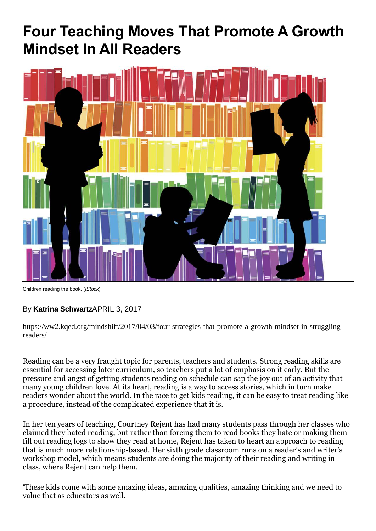# **Four Teaching Moves That Promote A Growth Mindset In All Readers**



Children reading the book. (*iStock*)

#### By **[Katrina Schwartz](https://ww2.kqed.org/mindshift/author/katrinaschwartz/)**APRIL 3, 2017

[https://ww2.kqed.org/mindshift/2017/04/03/four-strategies-that-promote-a-growth-mindset-in-struggling](https://ww2.kqed.org/mindshift/2017/04/03/four-strategies-that-promote-a-growth-mindset-in-struggling-readers/)[readers/](https://ww2.kqed.org/mindshift/2017/04/03/four-strategies-that-promote-a-growth-mindset-in-struggling-readers/)

Reading can be a very fraught topic for parents, teachers and students. Strong reading skills are essential for accessing later curriculum, so teachers put a lot of emphasis on it early. But the pressure and angst of getting students reading on schedule can sap the joy out of an activity that many young children love. At its heart, reading is a way to access stories, which in turn make readers wonder about the world. In the race to get kids reading, it can be easy to treat reading like a procedure, instead of the complicated experience that it is.

In her ten years of teaching, Courtney Rejent has had many students pass through her classes who claimed they hated reading, but rather than forcing them to read books they hate or making them fill out reading logs to show they read at home, Rejent has taken to heart an approach to reading that is much more relationship-based. Her sixth grade classroom runs on a reader's and writer's workshop model, which means students are doing the majority of their reading and writing in class, where Rejent can help them.

'These kids come with some amazing ideas, amazing qualities, amazing thinking and we need to value that as educators as well.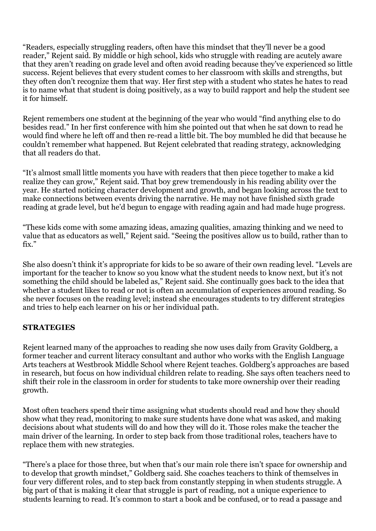"Readers, especially struggling readers, often have this mindset that they'll never be a good reader," Rejent said. By middle or high school, kids who struggle with reading are acutely aware that they aren't reading on grade level and often avoid reading because they've experienced so little success. Rejent believes that every student comes to her classroom with skills and strengths, but they often don't recognize them that way. Her first step with a student who states he hates to read is to name what that student is doing positively, as a way to build rapport and help the student see it for himself.

Rejent remembers one student at the beginning of the year who would "find anything else to do besides read." In her first conference with him she pointed out that when he sat down to read he would find where he left off and then re-read a little bit. The boy mumbled he did that because he couldn't remember what happened. But Rejent celebrated that reading strategy, acknowledging that all readers do that.

"It's almost small little moments you have with readers that then piece together to make a kid realize they can grow," Rejent said. That boy grew tremendously in his reading ability over the year. He started noticing character development and growth, and began looking across the text to make connections between events driving the narrative. He may not have finished sixth grade reading at grade level, but he'd begun to engage with reading again and had made huge progress.

"These kids come with some amazing ideas, amazing qualities, amazing thinking and we need to value that as educators as well," Rejent said. "Seeing the positives allow us to build, rather than to fix"

She also doesn't think it's appropriate for kids to be so aware of their own reading level. "Levels are important for the teacher to know so you know what the student needs to know next, but it's not something the child should be labeled as," Rejent said. She continually goes back to the idea that whether a student likes to read or not is often an accumulation of experiences around reading. So she never focuses on the reading level; instead she encourages students to try different strategies and tries to help each learner on his or her individual path.

#### **STRATEGIES**

Rejent learned many of the approaches to reading she now uses daily from [Gravity Goldberg,](http://www.drgravitygoldberg.com/) a former teacher and current literacy consultant and [author](https://us.corwin.com/en-us/nam/gravity-goldberg) who works with the English Language Arts teachers at Westbrook Middle School where Rejent teaches. Goldberg's approaches are based in research, but focus on how individual children relate to reading. She says often teachers need to shift their role in the classroom in order for students to take more ownership over their reading growth.

Most often teachers spend their time assigning what students should read and how they should show what they read, monitoring to make sure students have done what was asked, and making decisions about what students will do and how they will do it. Those roles make the teacher the main driver of the learning. In order to step back from those traditional roles, teachers have to replace them with new strategies.

"There's a place for those three, but when that's our main role there isn't space for ownership and to develop that [growth mindset](https://ww2.kqed.org/mindshift/2015/12/29/beyond-working-hard-what-growth-mindset-teaches-us-about-our-brains/)," Goldberg said. She coaches teachers to think of themselves in four very different roles, and to step back from constantly stepping in when students [struggle.](https://ww2.kqed.org/mindshift/2012/11/15/struggle-means-learning-difference-in-eastern-and-western-cultures/) A big part of that is making it clear that struggle is part of reading, not a unique experience to students learning to read. It's common to start a book and be confused, or to read a passage and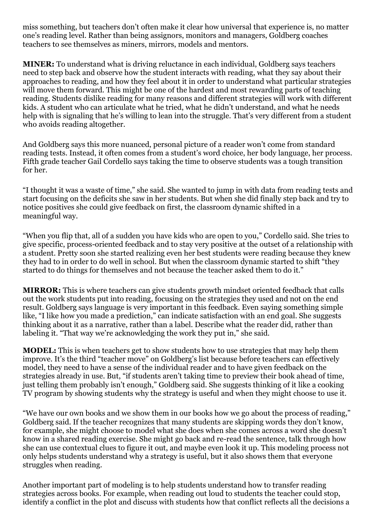miss something, but teachers don't often make it clear how universal that experience is, no matter one's reading level. Rather than being assignors, monitors and managers, Goldberg coaches teachers to see themselves as miners, mirrors, models and mentors.

**MINER:** To understand what is driving reluctance in each individual, Goldberg says teachers need to step back and observe how the student interacts with reading, what they say about their approaches to reading, and how they feel about it in order to understand what particular strategies will move them forward. This might be one of the hardest and most rewarding parts of teaching reading. Students dislike reading for many reasons and different strategies will work with different kids. A student who can articulate what he tried, what he didn't understand, and what he needs help with is signaling that he's willing to lean into the struggle. That's very different from a student who avoids reading altogether.

And Goldberg says this more nuanced, personal picture of a reader won't come from standard reading tests. Instead, it often comes from a student's word choice, her body language, her process. Fifth grade teacher Gail Cordello says taking the time to observe students was a tough transition for her.

"I thought it was a waste of time," she said. She wanted to jump in with data from reading tests and start focusing on the deficits she saw in her students. But when she did finally step back and try to notice positives she could give feedback on first, the classroom dynamic shifted in a meaningful way.

"When you flip that, all of a sudden you have kids who are open to you," Cordello said. She tries to give specific, process-oriented feedback and to stay very positive at the outset of a relationship with a student. Pretty soon she started realizing even her best students were reading because they knew they had to in order to do well in school. But when the classroom dynamic started to shift "they started to do things for themselves and not because the teacher asked them to do it."

**MIRROR:** This is where teachers can give students growth mindset oriented feedback that calls out the work students put into reading, focusing on the strategies they used and not on the end result. Goldberg says language is very important in this feedback. Even saying something simple like, "I like how you made a prediction," can indicate satisfaction with an end goal. She suggests thinking about it as a narrative, rather than a label. Describe what the reader did, rather than labeling it. "That way we're acknowledging the work they put in," she said.

**MODEL:** This is when teachers get to show students how to use strategies that may help them improve. It's the third "teacher move" on Goldberg's list because before teachers can effectively model, they need to have a sense of the individual reader and to have given feedback on the strategies already in use. But, "if students aren't taking time to preview their book ahead of time, just telling them probably isn't enough," Goldberg said. She suggests thinking of it like a cooking TV program by showing students why the strategy is useful and when they might choose to use it.

"We have our own books and we show them in our books how we go about the process of reading," Goldberg said. If the teacher recognizes that many students are skipping words they don't know, for example, she might choose to model what she does when she comes across a word she doesn't know in a shared reading exercise. She might go back and re-read the sentence, talk through how she can use contextual clues to figure it out, and maybe even look it up. This modeling process not only helps students understand why a strategy is useful, but it also shows them that everyone struggles when reading.

Another important part of modeling is to help students understand how to transfer reading strategies across books. For example, when reading out loud to students the teacher could stop, identify a conflict in the plot and discuss with students how that conflict reflects all the decisions a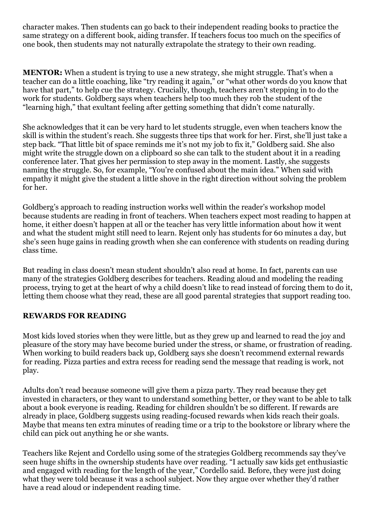character makes. Then students can go back to their independent reading books to practice the same strategy on a different book, aiding transfer. If teachers focus too much on the specifics of one book, then students may not naturally extrapolate the strategy to their own reading.

**MENTOR:** When a student is trying to use a new strategy, she might struggle. That's when a teacher can do a little coaching, like "try reading it again," or "what other words do you know that have that part," to help cue the strategy. Crucially, though, teachers aren't stepping in to do the work for students. Goldberg says when teachers help too much they rob the student of the "learning high," that exultant feeling after getting something that didn't come naturally.

She acknowledges that it can be very hard to let students struggle, even when teachers know the skill is within the student's reach. She suggests three tips that work for her. First, she'll just take a step back. "That little bit of space reminds me it's not my job to fix it," Goldberg said. She also might write the struggle down on a clipboard so she can talk to the student about it in a reading conference later. That gives her permission to step away in the moment. Lastly, she suggests naming the struggle. So, for example, "You're confused about the main idea." When said with empathy it might give the student a little shove in the right direction without solving the problem for her.

Goldberg's approach to reading instruction works well within the reader's workshop model because students are reading in front of teachers. When teachers expect most reading to happen at home, it either doesn't happen at all or the teacher has very little information about how it went and what the student might still need to learn. Rejent only has students for 60 minutes a day, but she's seen huge gains in reading growth when she can conference with students on reading during class time.

But reading in class doesn't mean student shouldn't also read at home. In fact, parents can use many of the strategies Goldberg describes for teachers. Reading aloud and modeling the reading process, trying to get at the heart of why a child doesn't like to read instead of forcing them to do it, letting them choose what they read, these are all good parental strategies that support reading too.

#### **REWARDS FOR READING**

Most kids loved stories when they were little, but as they grew up and learned to read the joy and pleasure of the story may have become buried under the stress, or shame, or frustration of reading. When working to build readers back up, Goldberg says she doesn't recommend [external rewards](https://ww2.kqed.org/mindshift/2017/03/19/why-even-great-teaching-strategies-can-backfire-and-what-to-do-about-it/)  [for reading.](https://ww2.kqed.org/mindshift/2017/03/19/why-even-great-teaching-strategies-can-backfire-and-what-to-do-about-it/) Pizza parties and extra recess for reading send the message that reading is work, not play.

Adults don't read because someone will give them a pizza party. They read because they get invested in characters, or they want to understand something better, or they want to be able to talk about a book everyone is reading. Reading for children shouldn't be so different. If rewards are already in place, Goldberg suggests using reading-focused rewards when kids reach their goals. Maybe that means ten extra minutes of reading time or a trip to the bookstore or library where the child can pick out anything he or she wants.

Teachers like Rejent and Cordello using some of the strategies Goldberg recommends say they've seen huge shifts in the ownership students have over reading. "I actually saw kids get enthusiastic and engaged with reading for the length of the year," Cordello said. Before, they were just doing what they were told because it was a school subject. Now they argue over whether they'd rather have a read aloud or independent reading time.